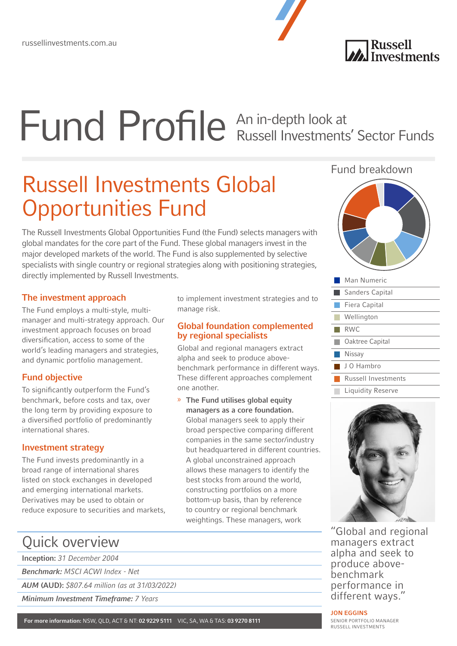# Fund Profile An in-depth look at Russell Investments' Sector Funds

## Russell Investments Global Opportunities Fund

The Russell Investments Global Opportunities Fund (the Fund) selects managers with global mandates for the core part of the Fund. These global managers invest in the major developed markets of the world. The Fund is also supplemented by selective specialists with single country or regional strategies along with positioning strategies, directly implemented by Russell Investments.

#### The investment approach

The Fund employs a multi-style, multimanager and multi-strategy approach. Our investment approach focuses on broad diversification, access to some of the world's leading managers and strategies, and dynamic portfolio management.

#### Fund objective

To significantly outperform the Fund's benchmark, before costs and tax, over the long term by providing exposure to a diversified portfolio of predominantly international shares.

#### Investment strategy

The Fund invests predominantly in a broad range of international shares listed on stock exchanges in developed and emerging international markets. Derivatives may be used to obtain or reduce exposure to securities and markets, to implement investment strategies and to manage risk.

#### Global foundation complemented by regional specialists

Global and regional managers extract alpha and seek to produce abovebenchmark performance in different ways. These different approaches complement one another.

» The Fund utilises global equity managers as a core foundation. Global managers seek to apply their broad perspective comparing different companies in the same sector/industry but headquartered in different countries. A global unconstrained approach allows these managers to identify the best stocks from around the world, constructing portfolios on a more bottom-up basis, than by reference to country or regional benchmark weightings. These managers, work

#### Fund breakdown



**A**<br>**Russell**<br>Investments





"Global and regional managers extract alpha and seek to produce abovebenchmark performance in different ways."

### Quick overview

```
Inception: 31 December 2004
```
Benchmark: MSCI ACWI Index - Net

AUM (AUD): \$807.64 million (as at 31/03/2022)

Minimum Investment Timeframe: 7 Years

SENIOR PORTFOLIO MANAGER RUSSELL INVESTMENTS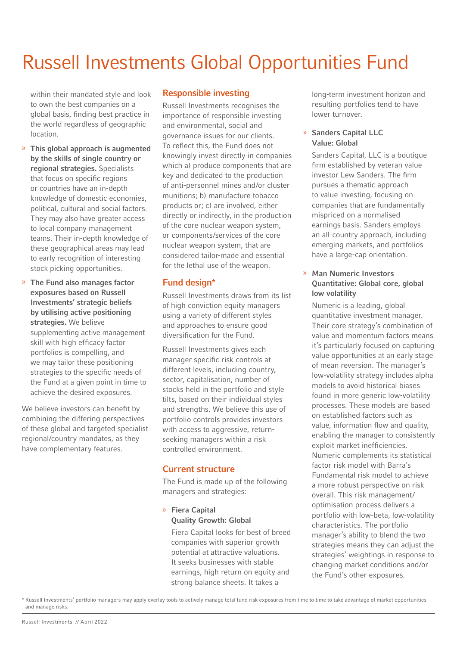### Russell Investments Global Opportunities Fund

within their mandated style and look to own the best companies on a global basis, finding best practice in the world regardless of geographic location.

- » This global approach is augmented by the skills of single country or regional strategies. Specialists that focus on specific regions or countries have an in-depth knowledge of domestic economies, political, cultural and social factors. They may also have greater access to local company management teams. Their in-depth knowledge of these geographical areas may lead to early recognition of interesting stock picking opportunities.
- » The Fund also manages factor exposures based on Russell Investments' strategic beliefs by utilising active positioning strategies. We believe supplementing active management skill with high efficacy factor portfolios is compelling, and we may tailor these positioning strategies to the specific needs of the Fund at a given point in time to achieve the desired exposures.

We believe investors can benefit by combining the differing perspectives of these global and targeted specialist regional/country mandates, as they have complementary features.

#### Responsible investing

Russell Investments recognises the importance of responsible investing and environmental, social and governance issues for our clients. To reflect this, the Fund does not knowingly invest directly in companies which a) produce components that are key and dedicated to the production of anti-personnel mines and/or cluster munitions; b) manufacture tobacco products or; c) are involved, either directly or indirectly, in the production of the core nuclear weapon system, or components/services of the core nuclear weapon system, that are considered tailor-made and essential for the lethal use of the weapon.

#### Fund design\*

Russell Investments draws from its list of high conviction equity managers using a variety of different styles and approaches to ensure good diversification for the Fund.

Russell Investments gives each manager specific risk controls at different levels, including country, sector, capitalisation, number of stocks held in the portfolio and style tilts, based on their individual styles and strengths. We believe this use of portfolio controls provides investors with access to aggressive, returnseeking managers within a risk controlled environment.

#### Current structure

The Fund is made up of the following managers and strategies:

» Fiera Capital Quality Growth: Global

Fiera Capital looks for best of breed companies with superior growth potential at attractive valuations. It seeks businesses with stable earnings, high return on equity and strong balance sheets. It takes a

long-term investment horizon and resulting portfolios tend to have lower turnover.

#### » Sanders Capital LLC Value: Global

Sanders Capital, LLC is a boutique firm established by veteran value investor Lew Sanders. The firm pursues a thematic approach to value investing, focusing on companies that are fundamentally mispriced on a normalised earnings basis. Sanders employs an all-country approach, including emerging markets, and portfolios have a large-cap orientation.

#### » Man Numeric Investors Quantitative: Global core, global low volatility

Numeric is a leading, global quantitative investment manager. Their core strategy's combination of value and momentum factors means it's particularly focused on capturing value opportunities at an early stage of mean reversion. The manager's low-volatility strategy includes alpha models to avoid historical biases found in more generic low-volatility processes. These models are based on established factors such as value, information flow and quality, enabling the manager to consistently exploit market inefficiencies. Numeric complements its statistical factor risk model with Barra's Fundamental risk model to achieve a more robust perspective on risk overall. This risk management/ optimisation process delivers a portfolio with low-beta, low-volatility characteristics. The portfolio manager's ability to blend the two strategies means they can adjust the strategies' weightings in response to changing market conditions and/or the Fund's other exposures.

<sup>\*</sup> Russell Investments' portfolio managers may apply overlay tools to actively manage total fund risk exposures from time to time to take advantage of market opportunities and manage risks.